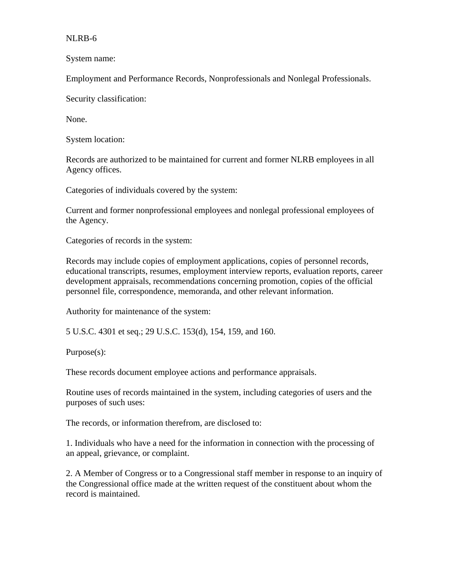## NLRB-6

System name:

Employment and Performance Records, Nonprofessionals and Nonlegal Professionals.

Security classification:

None.

System location:

Records are authorized to be maintained for current and former NLRB employees in all Agency offices.

Categories of individuals covered by the system:

Current and former nonprofessional employees and nonlegal professional employees of the Agency.

Categories of records in the system:

Records may include copies of employment applications, copies of personnel records, educational transcripts, resumes, employment interview reports, evaluation reports, career development appraisals, recommendations concerning promotion, copies of the official personnel file, correspondence, memoranda, and other relevant information.

Authority for maintenance of the system:

5 U.S.C. 4301 et seq.; 29 U.S.C. 153(d), 154, 159, and 160.

Purpose(s):

These records document employee actions and performance appraisals.

Routine uses of records maintained in the system, including categories of users and the purposes of such uses:

The records, or information therefrom, are disclosed to:

1. Individuals who have a need for the information in connection with the processing of an appeal, grievance, or complaint.

2. A Member of Congress or to a Congressional staff member in response to an inquiry of the Congressional office made at the written request of the constituent about whom the record is maintained.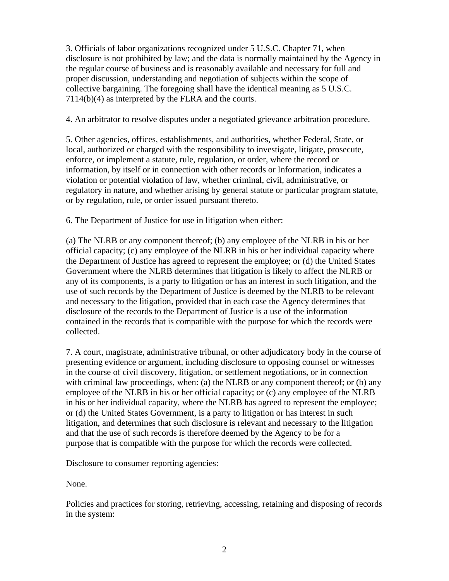3. Officials of labor organizations recognized under 5 U.S.C. Chapter 71, when disclosure is not prohibited by law; and the data is normally maintained by the Agency in the regular course of business and is reasonably available and necessary for full and proper discussion, understanding and negotiation of subjects within the scope of collective bargaining. The foregoing shall have the identical meaning as 5 U.S.C. 7114(b)(4) as interpreted by the FLRA and the courts.

4. An arbitrator to resolve disputes under a negotiated grievance arbitration procedure.

5. Other agencies, offices, establishments, and authorities, whether Federal, State, or local, authorized or charged with the responsibility to investigate, litigate, prosecute, enforce, or implement a statute, rule, regulation, or order, where the record or information, by itself or in connection with other records or Information, indicates a violation or potential violation of law, whether criminal, civil, administrative, or regulatory in nature, and whether arising by general statute or particular program statute, or by regulation, rule, or order issued pursuant thereto.

6. The Department of Justice for use in litigation when either:

(a) The NLRB or any component thereof; (b) any employee of the NLRB in his or her official capacity; (c) any employee of the NLRB in his or her individual capacity where the Department of Justice has agreed to represent the employee; or (d) the United States Government where the NLRB determines that litigation is likely to affect the NLRB or any of its components, is a party to litigation or has an interest in such litigation, and the use of such records by the Department of Justice is deemed by the NLRB to be relevant and necessary to the litigation, provided that in each case the Agency determines that disclosure of the records to the Department of Justice is a use of the information contained in the records that is compatible with the purpose for which the records were collected.

7. A court, magistrate, administrative tribunal, or other adjudicatory body in the course of presenting evidence or argument, including disclosure to opposing counsel or witnesses in the course of civil discovery, litigation, or settlement negotiations, or in connection with criminal law proceedings, when: (a) the NLRB or any component thereof; or (b) any employee of the NLRB in his or her official capacity; or (c) any employee of the NLRB in his or her individual capacity, where the NLRB has agreed to represent the employee; or (d) the United States Government, is a party to litigation or has interest in such litigation, and determines that such disclosure is relevant and necessary to the litigation and that the use of such records is therefore deemed by the Agency to be for a purpose that is compatible with the purpose for which the records were collected.

Disclosure to consumer reporting agencies:

None.

Policies and practices for storing, retrieving, accessing, retaining and disposing of records in the system: